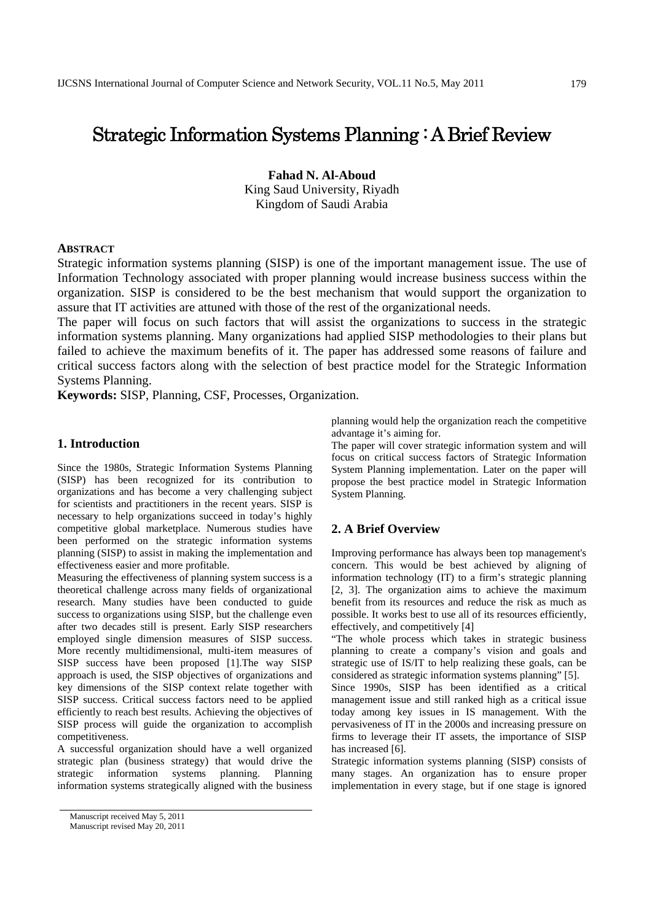# Strategic Information Systems Planning : A Brief Review

**Fahad N. Al-Aboud**  King Saud University, Riyadh Kingdom of Saudi Arabia

## **ABSTRACT**

Strategic information systems planning (SISP) is one of the important management issue. The use of Information Technology associated with proper planning would increase business success within the organization. SISP is considered to be the best mechanism that would support the organization to assure that IT activities are attuned with those of the rest of the organizational needs.

The paper will focus on such factors that will assist the organizations to success in the strategic information systems planning. Many organizations had applied SISP methodologies to their plans but failed to achieve the maximum benefits of it. The paper has addressed some reasons of failure and critical success factors along with the selection of best practice model for the Strategic Information Systems Planning.

**Keywords:** SISP, Planning, CSF, Processes, Organization.

## **1. Introduction**

Since the 1980s, Strategic Information Systems Planning (SISP) has been recognized for its contribution to organizations and has become a very challenging subject for scientists and practitioners in the recent years. SISP is necessary to help organizations succeed in today's highly competitive global marketplace. Numerous studies have been performed on the strategic information systems planning (SISP) to assist in making the implementation and effectiveness easier and more profitable.

Measuring the effectiveness of planning system success is a theoretical challenge across many fields of organizational research. Many studies have been conducted to guide success to organizations using SISP, but the challenge even after two decades still is present. Early SISP researchers employed single dimension measures of SISP success. More recently multidimensional, multi-item measures of SISP success have been proposed [1].The way SISP approach is used, the SISP objectives of organizations and key dimensions of the SISP context relate together with SISP success. Critical success factors need to be applied efficiently to reach best results. Achieving the objectives of SISP process will guide the organization to accomplish competitiveness.

A successful organization should have a well organized strategic plan (business strategy) that would drive the strategic information systems planning. Planning information systems strategically aligned with the business planning would help the organization reach the competitive advantage it's aiming for.

The paper will cover strategic information system and will focus on critical success factors of Strategic Information System Planning implementation. Later on the paper will propose the best practice model in Strategic Information System Planning.

## **2. A Brief Overview**

Improving performance has always been top management's concern. This would be best achieved by aligning of information technology (IT) to a firm's strategic planning [2, 3]. The organization aims to achieve the maximum benefit from its resources and reduce the risk as much as possible. It works best to use all of its resources efficiently, effectively, and competitively [4]

"The whole process which takes in strategic business planning to create a company's vision and goals and strategic use of IS/IT to help realizing these goals, can be considered as strategic information systems planning" [5].

Since 1990s, SISP has been identified as a critical management issue and still ranked high as a critical issue today among key issues in IS management. With the pervasiveness of IT in the 2000s and increasing pressure on firms to leverage their IT assets, the importance of SISP has increased [6].

Strategic information systems planning (SISP) consists of many stages. An organization has to ensure proper implementation in every stage, but if one stage is ignored

Manuscript received May 5, 2011

Manuscript revised May 20, 2011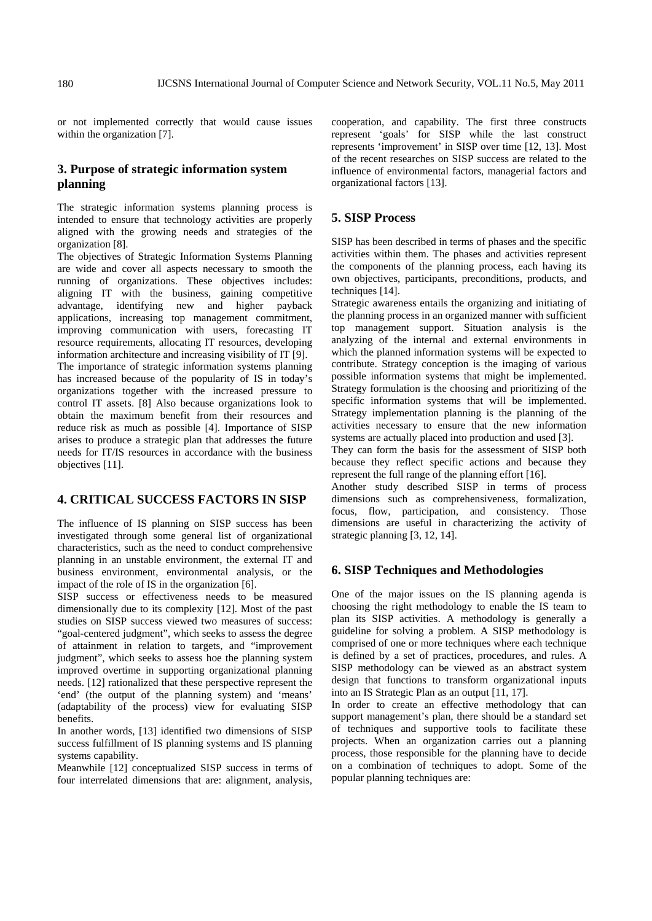or not implemented correctly that would cause issues within the organization [7].

# **3. Purpose of strategic information system planning**

The strategic information systems planning process is intended to ensure that technology activities are properly aligned with the growing needs and strategies of the organization [8].

The objectives of Strategic Information Systems Planning are wide and cover all aspects necessary to smooth the running of organizations. These objectives includes: aligning IT with the business, gaining competitive advantage, identifying new and higher payback applications, increasing top management commitment, improving communication with users, forecasting IT resource requirements, allocating IT resources, developing information architecture and increasing visibility of IT [9]. The importance of strategic information systems planning has increased because of the popularity of IS in today's organizations together with the increased pressure to control IT assets. [8] Also because organizations look to obtain the maximum benefit from their resources and reduce risk as much as possible [4]. Importance of SISP arises to produce a strategic plan that addresses the future needs for IT/IS resources in accordance with the business objectives [11].

# **4. CRITICAL SUCCESS FACTORS IN SISP**

The influence of IS planning on SISP success has been investigated through some general list of organizational characteristics, such as the need to conduct comprehensive planning in an unstable environment, the external IT and business environment, environmental analysis, or the impact of the role of IS in the organization [6].

SISP success or effectiveness needs to be measured dimensionally due to its complexity [12]. Most of the past studies on SISP success viewed two measures of success: "goal-centered judgment", which seeks to assess the degree of attainment in relation to targets, and "improvement judgment", which seeks to assess hoe the planning system improved overtime in supporting organizational planning needs. [12] rationalized that these perspective represent the 'end' (the output of the planning system) and 'means' (adaptability of the process) view for evaluating SISP benefits.

In another words, [13] identified two dimensions of SISP success fulfillment of IS planning systems and IS planning systems capability.

Meanwhile [12] conceptualized SISP success in terms of four interrelated dimensions that are: alignment, analysis,

cooperation, and capability. The first three constructs represent 'goals' for SISP while the last construct represents 'improvement' in SISP over time [12, 13]. Most of the recent researches on SISP success are related to the influence of environmental factors, managerial factors and organizational factors [13].

## **5. SISP Process**

SISP has been described in terms of phases and the specific activities within them. The phases and activities represent the components of the planning process, each having its own objectives, participants, preconditions, products, and techniques [14].

Strategic awareness entails the organizing and initiating of the planning process in an organized manner with sufficient top management support. Situation analysis is the analyzing of the internal and external environments in which the planned information systems will be expected to contribute. Strategy conception is the imaging of various possible information systems that might be implemented. Strategy formulation is the choosing and prioritizing of the specific information systems that will be implemented. Strategy implementation planning is the planning of the activities necessary to ensure that the new information systems are actually placed into production and used [3].

They can form the basis for the assessment of SISP both because they reflect specific actions and because they represent the full range of the planning effort [16].

Another study described SISP in terms of process dimensions such as comprehensiveness, formalization, focus, flow, participation, and consistency. Those dimensions are useful in characterizing the activity of strategic planning [3, 12, 14].

### **6. SISP Techniques and Methodologies**

One of the major issues on the IS planning agenda is choosing the right methodology to enable the IS team to plan its SISP activities. A methodology is generally a guideline for solving a problem. A SISP methodology is comprised of one or more techniques where each technique is defined by a set of practices, procedures, and rules. A SISP methodology can be viewed as an abstract system design that functions to transform organizational inputs into an IS Strategic Plan as an output [11, 17].

In order to create an effective methodology that can support management's plan, there should be a standard set of techniques and supportive tools to facilitate these projects. When an organization carries out a planning process, those responsible for the planning have to decide on a combination of techniques to adopt. Some of the popular planning techniques are: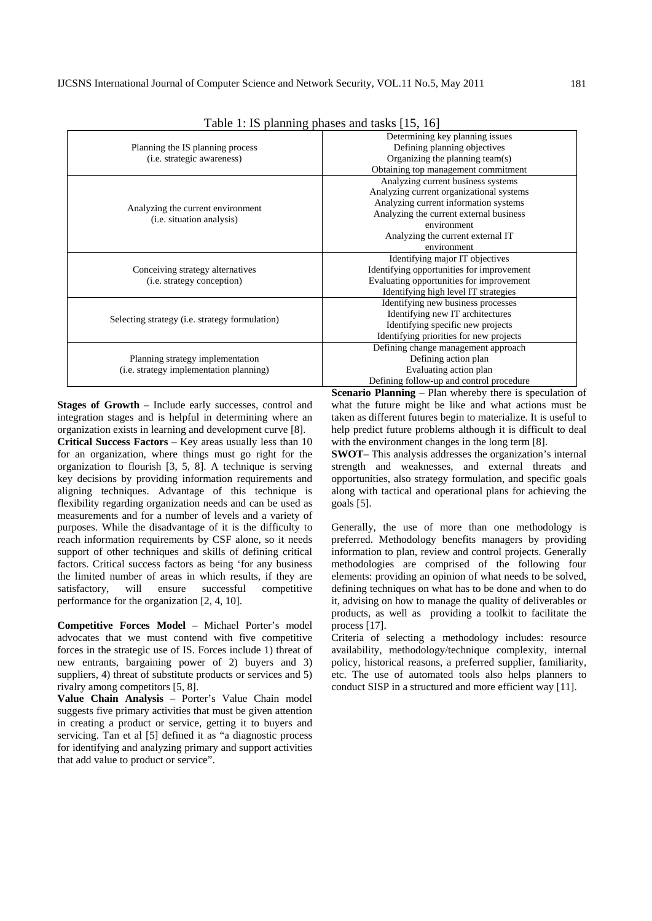| $1$ avic $1.13$ planning phases and tasks $1.9$ , $10$                              |                                           |  |  |  |
|-------------------------------------------------------------------------------------|-------------------------------------------|--|--|--|
|                                                                                     | Determining key planning issues           |  |  |  |
| Planning the IS planning process                                                    | Defining planning objectives              |  |  |  |
| (i.e. strategic awareness)                                                          | Organizing the planning team(s)           |  |  |  |
|                                                                                     | Obtaining top management commitment       |  |  |  |
|                                                                                     | Analyzing current business systems        |  |  |  |
|                                                                                     | Analyzing current organizational systems  |  |  |  |
| Analyzing the current environment<br>(i.e. situation analysis)                      | Analyzing current information systems     |  |  |  |
|                                                                                     | Analyzing the current external business   |  |  |  |
|                                                                                     | environment                               |  |  |  |
|                                                                                     | Analyzing the current external IT         |  |  |  |
|                                                                                     | environment                               |  |  |  |
|                                                                                     | Identifying major IT objectives           |  |  |  |
| Conceiving strategy alternatives                                                    | Identifying opportunities for improvement |  |  |  |
| ( <i>i.e.</i> strategy conception)                                                  | Evaluating opportunities for improvement  |  |  |  |
|                                                                                     | Identifying high level IT strategies      |  |  |  |
| Selecting strategy ( <i>i.e.</i> strategy formulation)                              | Identifying new business processes        |  |  |  |
|                                                                                     | Identifying new IT architectures          |  |  |  |
|                                                                                     | Identifying specific new projects         |  |  |  |
|                                                                                     | Identifying priorities for new projects   |  |  |  |
| Planning strategy implementation<br>( <i>i.e.</i> strategy implementation planning) | Defining change management approach       |  |  |  |
|                                                                                     | Defining action plan                      |  |  |  |
|                                                                                     | Evaluating action plan                    |  |  |  |
|                                                                                     | Defining follow-up and control procedure  |  |  |  |
|                                                                                     |                                           |  |  |  |

Table 1: IS planning phases and tasks [15, 16]

**Stages of Growth** – Include early successes, control and integration stages and is helpful in determining where an organization exists in learning and development curve [8]. **Critical Success Factors** – Key areas usually less than 10 for an organization, where things must go right for the organization to flourish [3, 5, 8]. A technique is serving key decisions by providing information requirements and aligning techniques. Advantage of this technique is flexibility regarding organization needs and can be used as measurements and for a number of levels and a variety of purposes. While the disadvantage of it is the difficulty to reach information requirements by CSF alone, so it needs support of other techniques and skills of defining critical factors. Critical success factors as being 'for any business

the limited number of areas in which results, if they are satisfactory, will ensure successful competitive performance for the organization [2, 4, 10]. **Competitive Forces Model** – Michael Porter's model

advocates that we must contend with five competitive forces in the strategic use of IS. Forces include 1) threat of new entrants, bargaining power of 2) buyers and 3) suppliers, 4) threat of substitute products or services and 5) rivalry among competitors [5, 8].

**Value Chain Analysis** – Porter's Value Chain model suggests five primary activities that must be given attention in creating a product or service, getting it to buyers and servicing. Tan et al [5] defined it as "a diagnostic process for identifying and analyzing primary and support activities that add value to product or service".

**Scenario Planning** – Plan whereby there is speculation of what the future might be like and what actions must be taken as different futures begin to materialize. It is useful to help predict future problems although it is difficult to deal with the environment changes in the long term [8].

**SWOT**– This analysis addresses the organization's internal strength and weaknesses, and external threats and opportunities, also strategy formulation, and specific goals along with tactical and operational plans for achieving the goals [5].

Generally, the use of more than one methodology is preferred. Methodology benefits managers by providing information to plan, review and control projects. Generally methodologies are comprised of the following four elements: providing an opinion of what needs to be solved, defining techniques on what has to be done and when to do it, advising on how to manage the quality of deliverables or products, as well as providing a toolkit to facilitate the process [17].

Criteria of selecting a methodology includes: resource availability, methodology/technique complexity, internal policy, historical reasons, a preferred supplier, familiarity, etc. The use of automated tools also helps planners to conduct SISP in a structured and more efficient way [11].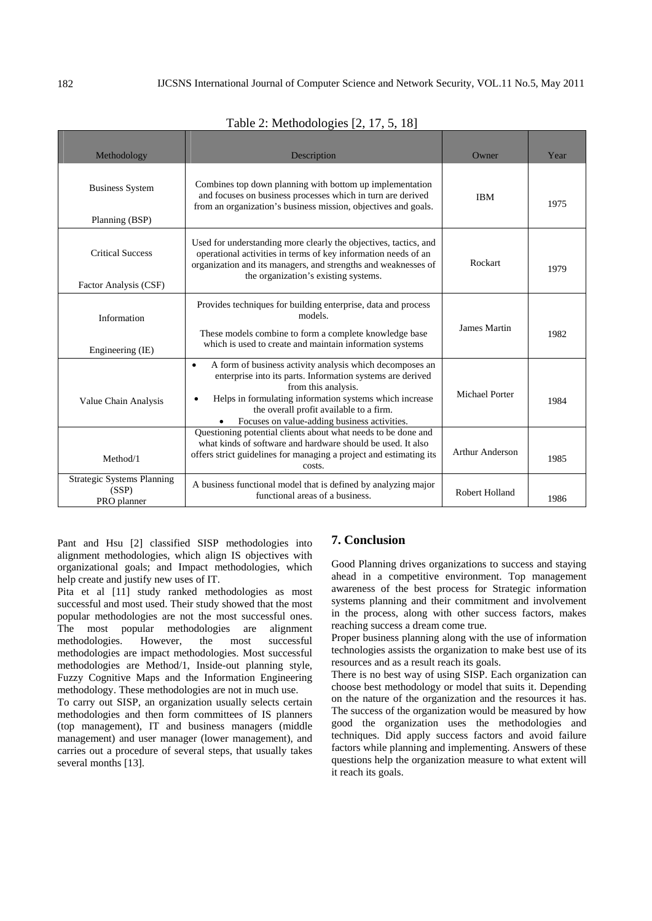| Methodology                                               | Description                                                                                                                                                                                                                                                                                                      | Owner                  | Year |
|-----------------------------------------------------------|------------------------------------------------------------------------------------------------------------------------------------------------------------------------------------------------------------------------------------------------------------------------------------------------------------------|------------------------|------|
| <b>Business System</b><br>Planning (BSP)                  | Combines top down planning with bottom up implementation<br>and focuses on business processes which in turn are derived<br>from an organization's business mission, objectives and goals.                                                                                                                        | <b>IBM</b>             | 1975 |
| <b>Critical Success</b><br>Factor Analysis (CSF)          | Used for understanding more clearly the objectives, tactics, and<br>operational activities in terms of key information needs of an<br>organization and its managers, and strengths and weaknesses of<br>the organization's existing systems.                                                                     | Rockart                | 1979 |
| Information<br>Engineering (IE)                           | Provides techniques for building enterprise, data and process<br>models.<br>These models combine to form a complete knowledge base<br>which is used to create and maintain information systems                                                                                                                   | <b>James Martin</b>    | 1982 |
| Value Chain Analysis                                      | A form of business activity analysis which decomposes an<br>$\bullet$<br>enterprise into its parts. Information systems are derived<br>from this analysis.<br>Helps in formulating information systems which increase<br>the overall profit available to a firm.<br>Focuses on value-adding business activities. | <b>Michael Porter</b>  | 1984 |
| Method/1                                                  | Questioning potential clients about what needs to be done and<br>what kinds of software and hardware should be used. It also<br>offers strict guidelines for managing a project and estimating its<br>costs.                                                                                                     | <b>Arthur Anderson</b> | 1985 |
| <b>Strategic Systems Planning</b><br>(SSP)<br>PRO planner | A business functional model that is defined by analyzing major<br>functional areas of a business.                                                                                                                                                                                                                | Robert Holland         | 1986 |

Table 2: Methodologies [2, 17, 5, 18]

Pant and Hsu [2] classified SISP methodologies into alignment methodologies, which align IS objectives with organizational goals; and Impact methodologies, which help create and justify new uses of IT.

Pita et al [11] study ranked methodologies as most successful and most used. Their study showed that the most popular methodologies are not the most successful ones. The most popular methodologies are alignment methodologies. However, the most successful methodologies are impact methodologies. Most successful methodologies are Method/1, Inside-out planning style, Fuzzy Cognitive Maps and the Information Engineering methodology. These methodologies are not in much use.

To carry out SISP, an organization usually selects certain methodologies and then form committees of IS planners (top management), IT and business managers (middle management) and user manager (lower management), and carries out a procedure of several steps, that usually takes several months [13].

## **7. Conclusion**

Good Planning drives organizations to success and staying ahead in a competitive environment. Top management awareness of the best process for Strategic information systems planning and their commitment and involvement in the process, along with other success factors, makes reaching success a dream come true.

Proper business planning along with the use of information technologies assists the organization to make best use of its resources and as a result reach its goals.

There is no best way of using SISP. Each organization can choose best methodology or model that suits it. Depending on the nature of the organization and the resources it has. The success of the organization would be measured by how good the organization uses the methodologies and techniques. Did apply success factors and avoid failure factors while planning and implementing. Answers of these questions help the organization measure to what extent will it reach its goals.